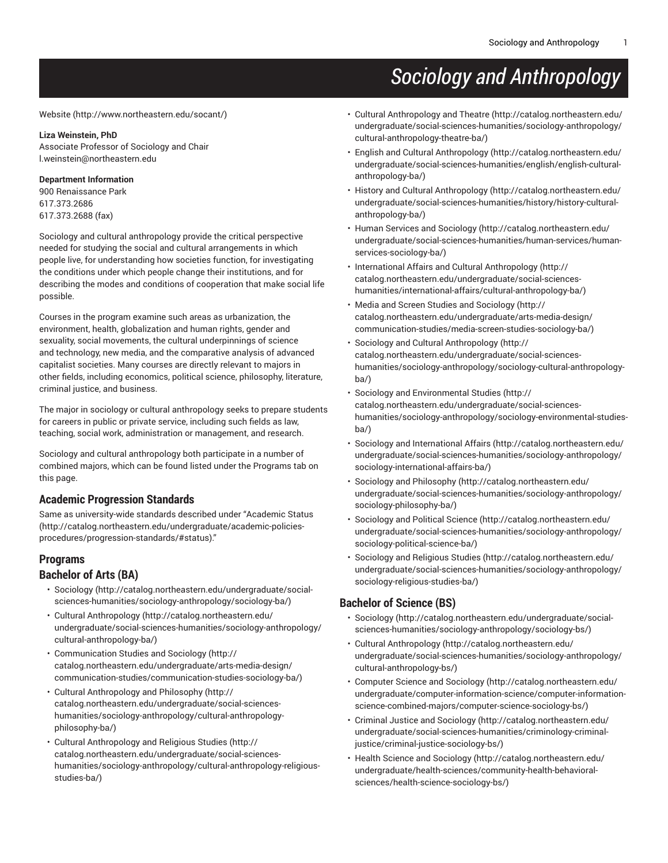# *Sociology and Anthropology*

[Website](http://www.northeastern.edu/socant/) ([http://www.northeastern.edu/socant/\)](http://www.northeastern.edu/socant/)

#### **Liza Weinstein, PhD**

Associate Professor of Sociology and Chair [l.weinstein@northeastern.edu](mailto:l.weinstein@northeastern.edu)

#### **Department Information**

900 Renaissance Park 617.373.2686 617.373.2688 (fax)

Sociology and cultural anthropology provide the critical perspective needed for studying the social and cultural arrangements in which people live, for understanding how societies function, for investigating the conditions under which people change their institutions, and for describing the modes and conditions of cooperation that make social life possible.

Courses in the program examine such areas as urbanization, the environment, health, globalization and human rights, gender and sexuality, social movements, the cultural underpinnings of science and technology, new media, and the comparative analysis of advanced capitalist societies. Many courses are directly relevant to majors in other fields, including economics, political science, philosophy, literature, criminal justice, and business.

The major in sociology or cultural anthropology seeks to prepare students for careers in public or private service, including such fields as law, teaching, social work, administration or management, and research.

Sociology and cultural anthropology both participate in a number of combined majors, which can be found listed under the Programs tab on this page.

### **Academic Progression Standards**

Same as university-wide standards described under "[Academic Status](http://catalog.northeastern.edu/undergraduate/academic-policies-procedures/progression-standards/#status) ([http://catalog.northeastern.edu/undergraduate/academic-policies](http://catalog.northeastern.edu/undergraduate/academic-policies-procedures/progression-standards/#status)[procedures/progression-standards/#status\)](http://catalog.northeastern.edu/undergraduate/academic-policies-procedures/progression-standards/#status)."

#### **Programs**

#### **Bachelor of Arts (BA)**

- [Sociology](http://catalog.northeastern.edu/undergraduate/social-sciences-humanities/sociology-anthropology/sociology-ba/) [\(http://catalog.northeastern.edu/undergraduate/social](http://catalog.northeastern.edu/undergraduate/social-sciences-humanities/sociology-anthropology/sociology-ba/)[sciences-humanities/sociology-anthropology/sociology-ba/](http://catalog.northeastern.edu/undergraduate/social-sciences-humanities/sociology-anthropology/sociology-ba/))
- Cultural [Anthropology](http://catalog.northeastern.edu/undergraduate/social-sciences-humanities/sociology-anthropology/cultural-anthropology-ba/) [\(http://catalog.northeastern.edu/](http://catalog.northeastern.edu/undergraduate/social-sciences-humanities/sociology-anthropology/cultural-anthropology-ba/) [undergraduate/social-sciences-humanities/sociology-anthropology/](http://catalog.northeastern.edu/undergraduate/social-sciences-humanities/sociology-anthropology/cultural-anthropology-ba/) [cultural-anthropology-ba/\)](http://catalog.northeastern.edu/undergraduate/social-sciences-humanities/sociology-anthropology/cultural-anthropology-ba/)
- [Communication Studies and Sociology](http://catalog.northeastern.edu/undergraduate/arts-media-design/communication-studies/communication-studies-sociology-ba/) ([http://](http://catalog.northeastern.edu/undergraduate/arts-media-design/communication-studies/communication-studies-sociology-ba/) [catalog.northeastern.edu/undergraduate/arts-media-design/](http://catalog.northeastern.edu/undergraduate/arts-media-design/communication-studies/communication-studies-sociology-ba/) [communication-studies/communication-studies-sociology-ba/\)](http://catalog.northeastern.edu/undergraduate/arts-media-design/communication-studies/communication-studies-sociology-ba/)
- Cultural [Anthropology](http://catalog.northeastern.edu/undergraduate/social-sciences-humanities/sociology-anthropology/cultural-anthropology-philosophy-ba/) and Philosophy ([http://](http://catalog.northeastern.edu/undergraduate/social-sciences-humanities/sociology-anthropology/cultural-anthropology-philosophy-ba/) [catalog.northeastern.edu/undergraduate/social-sciences](http://catalog.northeastern.edu/undergraduate/social-sciences-humanities/sociology-anthropology/cultural-anthropology-philosophy-ba/)[humanities/sociology-anthropology/cultural-anthropology](http://catalog.northeastern.edu/undergraduate/social-sciences-humanities/sociology-anthropology/cultural-anthropology-philosophy-ba/)[philosophy-ba/\)](http://catalog.northeastern.edu/undergraduate/social-sciences-humanities/sociology-anthropology/cultural-anthropology-philosophy-ba/)
- Cultural [Anthropology](http://catalog.northeastern.edu/undergraduate/social-sciences-humanities/sociology-anthropology/cultural-anthropology-religious-studies-ba/) and Religious Studies [\(http://](http://catalog.northeastern.edu/undergraduate/social-sciences-humanities/sociology-anthropology/cultural-anthropology-religious-studies-ba/) [catalog.northeastern.edu/undergraduate/social-sciences](http://catalog.northeastern.edu/undergraduate/social-sciences-humanities/sociology-anthropology/cultural-anthropology-religious-studies-ba/)[humanities/sociology-anthropology/cultural-anthropology-religious](http://catalog.northeastern.edu/undergraduate/social-sciences-humanities/sociology-anthropology/cultural-anthropology-religious-studies-ba/)[studies-ba/\)](http://catalog.northeastern.edu/undergraduate/social-sciences-humanities/sociology-anthropology/cultural-anthropology-religious-studies-ba/)
- Cultural [Anthropology](http://catalog.northeastern.edu/undergraduate/social-sciences-humanities/sociology-anthropology/cultural-anthropology-theatre-ba/) and Theatre [\(http://catalog.northeastern.edu/](http://catalog.northeastern.edu/undergraduate/social-sciences-humanities/sociology-anthropology/cultural-anthropology-theatre-ba/) [undergraduate/social-sciences-humanities/sociology-anthropology/](http://catalog.northeastern.edu/undergraduate/social-sciences-humanities/sociology-anthropology/cultural-anthropology-theatre-ba/) [cultural-anthropology-theatre-ba/\)](http://catalog.northeastern.edu/undergraduate/social-sciences-humanities/sociology-anthropology/cultural-anthropology-theatre-ba/)
- English and Cultural [Anthropology \(http://catalog.northeastern.edu/](http://catalog.northeastern.edu/undergraduate/social-sciences-humanities/english/english-cultural-anthropology-ba/) [undergraduate/social-sciences-humanities/english/english-cultural](http://catalog.northeastern.edu/undergraduate/social-sciences-humanities/english/english-cultural-anthropology-ba/)[anthropology-ba/](http://catalog.northeastern.edu/undergraduate/social-sciences-humanities/english/english-cultural-anthropology-ba/))
- History and Cultural [Anthropology](http://catalog.northeastern.edu/undergraduate/social-sciences-humanities/history/history-cultural-anthropology-ba/) ([http://catalog.northeastern.edu/](http://catalog.northeastern.edu/undergraduate/social-sciences-humanities/history/history-cultural-anthropology-ba/) [undergraduate/social-sciences-humanities/history/history-cultural](http://catalog.northeastern.edu/undergraduate/social-sciences-humanities/history/history-cultural-anthropology-ba/)[anthropology-ba/](http://catalog.northeastern.edu/undergraduate/social-sciences-humanities/history/history-cultural-anthropology-ba/))
- Human Services and [Sociology](http://catalog.northeastern.edu/undergraduate/social-sciences-humanities/human-services/human-services-sociology-ba/) ([http://catalog.northeastern.edu/](http://catalog.northeastern.edu/undergraduate/social-sciences-humanities/human-services/human-services-sociology-ba/) [undergraduate/social-sciences-humanities/human-services/human](http://catalog.northeastern.edu/undergraduate/social-sciences-humanities/human-services/human-services-sociology-ba/)[services-sociology-ba/\)](http://catalog.northeastern.edu/undergraduate/social-sciences-humanities/human-services/human-services-sociology-ba/)
- International Affairs and Cultural [Anthropology](http://catalog.northeastern.edu/undergraduate/social-sciences-humanities/international-affairs/cultural-anthropology-ba/) ([http://](http://catalog.northeastern.edu/undergraduate/social-sciences-humanities/international-affairs/cultural-anthropology-ba/) [catalog.northeastern.edu/undergraduate/social-sciences](http://catalog.northeastern.edu/undergraduate/social-sciences-humanities/international-affairs/cultural-anthropology-ba/)[humanities/international-affairs/cultural-anthropology-ba/\)](http://catalog.northeastern.edu/undergraduate/social-sciences-humanities/international-affairs/cultural-anthropology-ba/)
- Media and Screen Studies and [Sociology](http://catalog.northeastern.edu/undergraduate/arts-media-design/communication-studies/media-screen-studies-sociology-ba/) ([http://](http://catalog.northeastern.edu/undergraduate/arts-media-design/communication-studies/media-screen-studies-sociology-ba/) [catalog.northeastern.edu/undergraduate/arts-media-design/](http://catalog.northeastern.edu/undergraduate/arts-media-design/communication-studies/media-screen-studies-sociology-ba/) [communication-studies/media-screen-studies-sociology-ba/\)](http://catalog.northeastern.edu/undergraduate/arts-media-design/communication-studies/media-screen-studies-sociology-ba/)
- Sociology and Cultural [Anthropology \(http://](http://catalog.northeastern.edu/undergraduate/social-sciences-humanities/sociology-anthropology/sociology-cultural-anthropology-ba/) [catalog.northeastern.edu/undergraduate/social-sciences](http://catalog.northeastern.edu/undergraduate/social-sciences-humanities/sociology-anthropology/sociology-cultural-anthropology-ba/)[humanities/sociology-anthropology/sociology-cultural-anthropology](http://catalog.northeastern.edu/undergraduate/social-sciences-humanities/sociology-anthropology/sociology-cultural-anthropology-ba/)[ba/\)](http://catalog.northeastern.edu/undergraduate/social-sciences-humanities/sociology-anthropology/sociology-cultural-anthropology-ba/)
- Sociology and [Environmental](http://catalog.northeastern.edu/undergraduate/social-sciences-humanities/sociology-anthropology/sociology-environmental-studies-ba/) Studies [\(http://](http://catalog.northeastern.edu/undergraduate/social-sciences-humanities/sociology-anthropology/sociology-environmental-studies-ba/) [catalog.northeastern.edu/undergraduate/social-sciences](http://catalog.northeastern.edu/undergraduate/social-sciences-humanities/sociology-anthropology/sociology-environmental-studies-ba/)[humanities/sociology-anthropology/sociology-environmental-studies](http://catalog.northeastern.edu/undergraduate/social-sciences-humanities/sociology-anthropology/sociology-environmental-studies-ba/)[ba/\)](http://catalog.northeastern.edu/undergraduate/social-sciences-humanities/sociology-anthropology/sociology-environmental-studies-ba/)
- [Sociology and International Affairs](http://catalog.northeastern.edu/undergraduate/social-sciences-humanities/sociology-anthropology/sociology-international-affairs-ba/) ([http://catalog.northeastern.edu/](http://catalog.northeastern.edu/undergraduate/social-sciences-humanities/sociology-anthropology/sociology-international-affairs-ba/) [undergraduate/social-sciences-humanities/sociology-anthropology/](http://catalog.northeastern.edu/undergraduate/social-sciences-humanities/sociology-anthropology/sociology-international-affairs-ba/) [sociology-international-affairs-ba/\)](http://catalog.northeastern.edu/undergraduate/social-sciences-humanities/sociology-anthropology/sociology-international-affairs-ba/)
- [Sociology and Philosophy](http://catalog.northeastern.edu/undergraduate/social-sciences-humanities/sociology-anthropology/sociology-philosophy-ba/) ([http://catalog.northeastern.edu/](http://catalog.northeastern.edu/undergraduate/social-sciences-humanities/sociology-anthropology/sociology-philosophy-ba/) [undergraduate/social-sciences-humanities/sociology-anthropology/](http://catalog.northeastern.edu/undergraduate/social-sciences-humanities/sociology-anthropology/sociology-philosophy-ba/) [sociology-philosophy-ba/](http://catalog.northeastern.edu/undergraduate/social-sciences-humanities/sociology-anthropology/sociology-philosophy-ba/))
- [Sociology](http://catalog.northeastern.edu/undergraduate/social-sciences-humanities/sociology-anthropology/sociology-political-science-ba/) and Political Science [\(http://catalog.northeastern.edu/](http://catalog.northeastern.edu/undergraduate/social-sciences-humanities/sociology-anthropology/sociology-political-science-ba/) [undergraduate/social-sciences-humanities/sociology-anthropology/](http://catalog.northeastern.edu/undergraduate/social-sciences-humanities/sociology-anthropology/sociology-political-science-ba/) [sociology-political-science-ba/](http://catalog.northeastern.edu/undergraduate/social-sciences-humanities/sociology-anthropology/sociology-political-science-ba/))
- [Sociology and Religious Studies \(http://catalog.northeastern.edu/](http://catalog.northeastern.edu/undergraduate/social-sciences-humanities/sociology-anthropology/sociology-religious-studies-ba/) [undergraduate/social-sciences-humanities/sociology-anthropology/](http://catalog.northeastern.edu/undergraduate/social-sciences-humanities/sociology-anthropology/sociology-religious-studies-ba/) [sociology-religious-studies-ba/\)](http://catalog.northeastern.edu/undergraduate/social-sciences-humanities/sociology-anthropology/sociology-religious-studies-ba/)

#### **Bachelor of Science (BS)**

- [Sociology \(http://catalog.northeastern.edu/undergraduate/social](http://catalog.northeastern.edu/undergraduate/social-sciences-humanities/sociology-anthropology/sociology-bs/)[sciences-humanities/sociology-anthropology/sociology-bs/\)](http://catalog.northeastern.edu/undergraduate/social-sciences-humanities/sociology-anthropology/sociology-bs/)
- Cultural [Anthropology](http://catalog.northeastern.edu/undergraduate/social-sciences-humanities/sociology-anthropology/cultural-anthropology-bs/) ([http://catalog.northeastern.edu/](http://catalog.northeastern.edu/undergraduate/social-sciences-humanities/sociology-anthropology/cultural-anthropology-bs/) [undergraduate/social-sciences-humanities/sociology-anthropology/](http://catalog.northeastern.edu/undergraduate/social-sciences-humanities/sociology-anthropology/cultural-anthropology-bs/) [cultural-anthropology-bs/\)](http://catalog.northeastern.edu/undergraduate/social-sciences-humanities/sociology-anthropology/cultural-anthropology-bs/)
- [Computer Science and Sociology](http://catalog.northeastern.edu/undergraduate/computer-information-science/computer-information-science-combined-majors/computer-science-sociology-bs/) ([http://catalog.northeastern.edu/](http://catalog.northeastern.edu/undergraduate/computer-information-science/computer-information-science-combined-majors/computer-science-sociology-bs/) [undergraduate/computer-information-science/computer-information](http://catalog.northeastern.edu/undergraduate/computer-information-science/computer-information-science-combined-majors/computer-science-sociology-bs/)[science-combined-majors/computer-science-sociology-bs/\)](http://catalog.northeastern.edu/undergraduate/computer-information-science/computer-information-science-combined-majors/computer-science-sociology-bs/)
- [Criminal Justice and Sociology](http://catalog.northeastern.edu/undergraduate/social-sciences-humanities/criminology-criminal-justice/criminal-justice-sociology-bs/) [\(http://catalog.northeastern.edu/](http://catalog.northeastern.edu/undergraduate/social-sciences-humanities/criminology-criminal-justice/criminal-justice-sociology-bs/) [undergraduate/social-sciences-humanities/criminology-criminal](http://catalog.northeastern.edu/undergraduate/social-sciences-humanities/criminology-criminal-justice/criminal-justice-sociology-bs/)[justice/criminal-justice-sociology-bs/\)](http://catalog.northeastern.edu/undergraduate/social-sciences-humanities/criminology-criminal-justice/criminal-justice-sociology-bs/)
- [Health Science and Sociology](http://catalog.northeastern.edu/undergraduate/health-sciences/community-health-behavioral-sciences/health-science-sociology-bs/) ([http://catalog.northeastern.edu/](http://catalog.northeastern.edu/undergraduate/health-sciences/community-health-behavioral-sciences/health-science-sociology-bs/) [undergraduate/health-sciences/community-health-behavioral](http://catalog.northeastern.edu/undergraduate/health-sciences/community-health-behavioral-sciences/health-science-sociology-bs/)[sciences/health-science-sociology-bs/\)](http://catalog.northeastern.edu/undergraduate/health-sciences/community-health-behavioral-sciences/health-science-sociology-bs/)